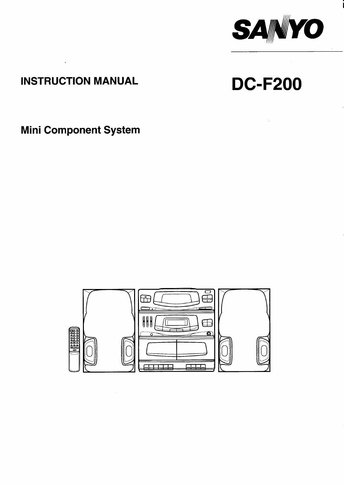

## **INSTRUCTION MANUAL**

 $\sim 10^{-11}$ 

# **DC-F200**

**Mini Component System** 

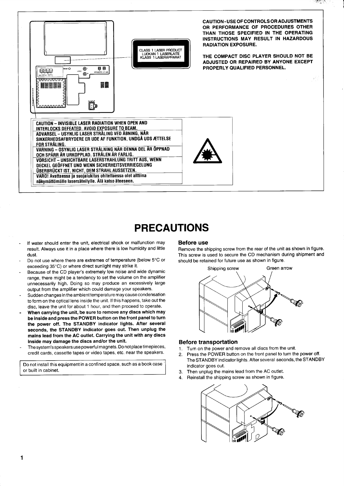

### **PRECAUTIONS**

- If water should enter the unit, electrical shock or malfunction may result. Always use it in a place where there is low humidity and little dust
- Do not use where there are extremes of temperature (below 5°C or exceeding 35°C) or where direct sunlight may strike it.
- Because of the CD player's extremely low noise and wide dynamic range, there might be a tendency to set the volume on the amplifier unnecessarily high. Doing so may produce an excessively large output from the amplifier which could damage your speakers.
- Sudden changes in the ambient temperature may cause condensation to form on the optical lens inside the unit. If this happens, take out the disc. leave the unit for about 1 hour, and then proceed to operate.
- When carrying the unit, be sure to remove any discs which may be inside and press the POWER button on the front panel to turn the power off. The STANDBY indicator lights. After several seconds, the STANDBY indicator goes out. Then unplug the mains lead from the AC outlet. Carrying the unit with any discs inside may damage the discs and/or the unit.
- The system's speakers use powerful magnets. Do not place timepieces, credit cards, cassette tapes or video tapes, etc. near the speakers.

Do not install this equipment in a confined space, such as a book case or built in cabinet.

#### **Before use**

Remove the shipping screw from the rear of the unit as shown in figure. This screw is used to secure the CD mechanism during shipment and should be retained for future use as shown in figure.



#### **Before transportation**

- Turn on the power and remove all discs from the unit.  $1$
- Press the POWER button on the front panel to turn the power off.  $2<sup>1</sup>$ The STANDBY indicator lights. After several seconds, the STANDBY indicator goes out.
- 3. Then unplug the mains lead from the AC outlet.
- 4. Reinstall the shipping screw as shown in figure.



1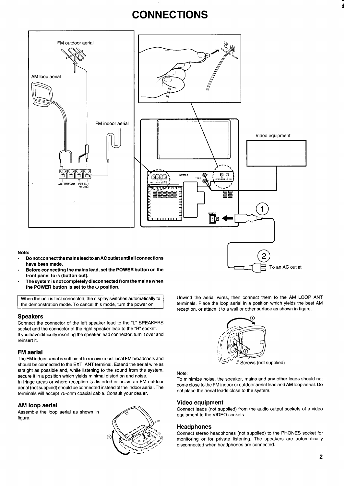### **CONNECTIONS**



#### Note:

- **Do not connect the mains lead toan ACoutlet until all connections have been made.**
- **Before connecting the mains lead, set the POWER button on the front panel to@ (button out).**
- **The system is not completely disconnected from the mains when the POWER button is set to the U position.**

I When the unit is first connected, the display switches automatically to the demonstration mode. To cancel this mode, turn the power on.

#### **Speakers**

Connect the connector of the left speaker lead to the "L" SPEAKERS socket and the connector of the right speaker lead to the "R" socket. If you have difficulty inserting the speaker lead connector, turn it over and reinsert it.

#### **FM aerial**

The FM indoor aerial is sufficient to receive most local FM broadcasts and should be connected to the EXT. ANT terminal. Extend the aerial wire as straight as possible and, while listening to the sound from the system, secure it in a position which yields minimal distortion and noise. In fringe areas or where reception is distorted or noisy, an FM outdoor aerial (not supplied) should be connected instead of the indoor aerial. The terminals will accept 75-ohm coaxial cable. Consult your dealer.

#### **AM loop aerial**

Assemble the loop aerial as shown in figure.



Unwind the aerial wires, then connect them to the AM LOOP ANT terminals. Place the loop aerial in a position which yields the best AM reception, or attach it to a wall or other surface as shown in figure.

To an AC outlet



#### Note:

To minimize noise, the speaker, mains and any other leads should not come close to the FM indoor or outdoor aerial lead and AM loop aerial. Do not place the aerial leads close to the system.

#### **Video equipment**

Connect leads (not supplied) from the audio output sockets of a video equipment to the VIDEO sockets.

#### **Headphones**

Connect stereo headphones (not supplied) to the PHONES socket for monitoring or for private listening. The speakers are automatically disconnected when headphones are connected.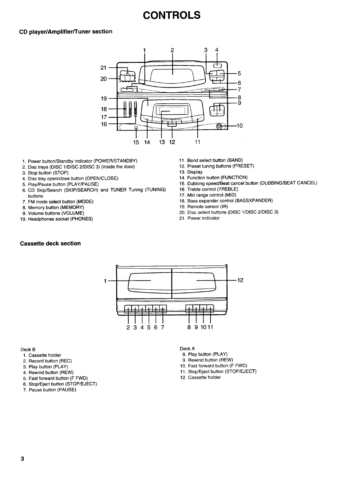### **CONTROLS**

#### **CD player/Amplifier/Tuner section**



- 1. Power button/Standby indicator (POWER/STANDBY)
- 2. Disc trays (DISC l/DISC 2/DISC 3) (inside the door)
- 3. Stop button (STOP)
- 4. Disc tray open/close button (OPEN/CLOSE)
- 5. Play/Pause button (PLAY/PAUSE)
- 6. CD Skip/Search (SKIP/SEARCH) and TUNER Tuning (TUNING) buttons
- 7. FM mode select button (MODE)
- 8. Memory button (MEMORY)
- 9. Volume buttons (VOLUME)
- 10. Headphones socket (PHONES)

#### **Cassette deck section**

- 11. Band select button (BAND)
- 12. Preset tuning buttons (PRESET)
- 13. Display
- 14. Function button (FUNCTION)
- 15. Dubbing speed/Beat cancel button (DUBBING/BEAT CANCEL)
- 16. Treble control (TREBLE)
- 17. Mid range control (MID)
- 18. Bass expander control (BASSXPANDER)
- 19. Remote sensor (IR)
- 20. Disc select buttons (DISC 1/DISC 2/DISC 3)
- 21. Power indicator



#### Deck B

- 1. Cassette holder
- 2. Record button (REC)
- 3. Play button (PLAY)
- 4. Rewind button (REW)
- 5. Fast forward button (F FWD)
- 6. Stop/Eject button (STOP/EJECT)
- 7. Pause button (PAUSE)
- Deck A
- 8. Play button (PLAY)
- 9. Rewind' button (REW)
- 10. Fast forward button (F FWD)
- 11. Stop/Eject button (STOP/EJECT)
- 12. Cassette holder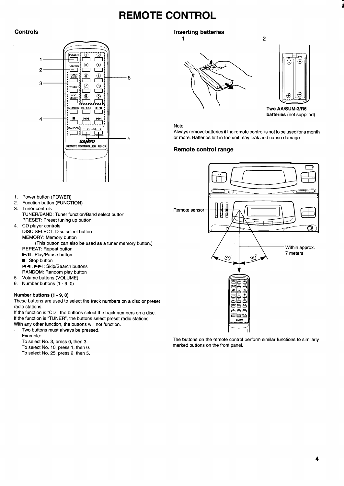### **REMOTE CONTROL**



**Controls Controls Inserting batteries** 





**2**

**TwO AAISUM-31R6 batteries (not supplied)**

#### Note:

Always remove batteries if the remote control is not to be used for a month or more. Batteries left in the unit may leak and cause damage.

#### **Remote control range**



The buttons on the remote control perform similar functions to similarly marked buttons on the front panel.

- 1. Power button (POWER)
- 2. Function button (FUNCTION)
- 3. Tuner controls TUNER/BAND: Tuner function/Band select button PRESET: Preset tuning up button
- 4. CD player control DISC SELECT: Disc select button MEMORY: Memory button (This button can also be used as a tuner memory button.) REPEAT: Repeat button
	- HII : Play/Pause button
	- : Stop button
	- M+, ➤W: Skip/Search buttons RANDOM: Random play button
- Volume buttons (VOLUME)
- 5. 6. Number buttons (1 -9, O)

#### **Number buttons (1 -9, O)**

These buttons are used to select the track numbers on a disc or preset radio stations.

- If the function is "CD", the buttons select the track numbers on a disc. If the function is "TUNER", the buttons select preset radio stations.
- With any other function, the buttons will not function.
- Two buttons must always be pressed.
	- Example:
	- To select No. 3, press O, then 3.
	- To select No. 10, press 1, then O.
	- To select No, 25, press 2, then 5.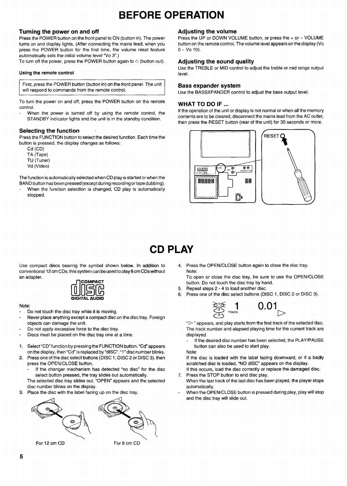### **BEFORE OPERATION**

#### **Turning the power on and off**

Press the POWER button on the front panel to ON (button in). The power turns on and display lights. (After connecting the mains lead, when you press the POWER button for the first time, the volume reset feature automatically sets the initial volume level "Vo 3".)

To turn off the power, press the POWER button again to  $\mathfrak{O}$  (button out).

#### Using the remote control

First, press the POWER button (button in) on the front panel. The unit will respond to commands from the remote control.

To turn the power on and off, press the POWER button on the remote control.

When the power is turned off by using the remote control, the STANDBY indicator lights and the unit is in the standby condition.

### **Selecting the function**

Press the FUNCTION button to select the desired function. Each time the button is pressed, the display changes as follows:

Cd (CD) TA (Tape) TU (Tuner) Vd (Video)

The function is automatically selected when CD play is started or when the BAND button has been pressed (except during recording or tape dubbing).

When the function selection is changed, CD play is automatically stopped.

#### **Adjusting the volume**

Press the UP or DOWN VOLUME button, or press the+ or – VOLUME button on the remote control. The volume level appears on the display (Vo  $0 - V_0 10$ .

#### **Adjusting the sound quality**

Use the TREBLE or MID control to adjust the treble or mid range output level.

#### **Bass expander system**

Use the BASSXPANDER control to adjust the bass output level.

#### **WHAT TO DO IF ...**

If the operation of the unit or display is not normal or when all the memory contents are to be cleared, disconnect the mains lead from the AC outlet, then press the RESET button (rear of the unit) for 30 seconds or more.



## **CD PLAY**

Use compact discs bearing the symbol shown below. In addition to conventional 12 cm CDs, this system can be used to play 8 cm CDs without an adapter.



#### Note:

- Do not touch the disc tray while it is moving.
- Never place anything except a compact disc on the disc tray. Foreign objects can damage the unit.
- Do not apply excessive force to the disc tray.
- Discs must be placed on the disc tray one at a time.
- 1. Select "CD" function by pressing the FUNCTION button. "Cd" appears on the display, then "Cd" is replaced by "dISC". "1" disc number blinks.
- 2. Press one of the disc select buttons (DISC 1, DISC 2 or DISC 3), then press the OPEN/CLOSE button.
	- If the changer mechanism has detected "no disc" for the disc select button pressed, the tray slides out automatically.

The selected disc tray slides out. "OPEN" appears and the selected disc number blinks on the display.

3. Place the disc with the label facing up on the disc tray.



4. Press the OPEN/CLOSE button again to close the disc tray. Note:

To open or close the disc tray, be sure to use the OPEN/CLOSE button, Do not touch the disc tray by hand.

- 5. Repeat steps 2-4 to load another disc.
- 6. Press one of the disc select buttons (DISC 1, DISC 2 or DISC 3).



" $\triangleright$ " appears, and play starts from the first track of the selected disc. The track number and elapsed playing time for the current track are displayed.

If the desired disc number has been selected, the PLAY/PAUSE button can also be used to start play.

Note:

If the disc is loaded with the label facing downward, or if a badly scratched disc is loaded, "NO dISC" appears on the display.

- 7. Press the STOP button to end disc play. If this occurs, load the disc correctly or replace the damaged disc.
- When the last track of the last disc has been played, the player stops automatically.
- When the OPEN/CLOSE button is pressed during play, play will stop and the disc tray will slide out.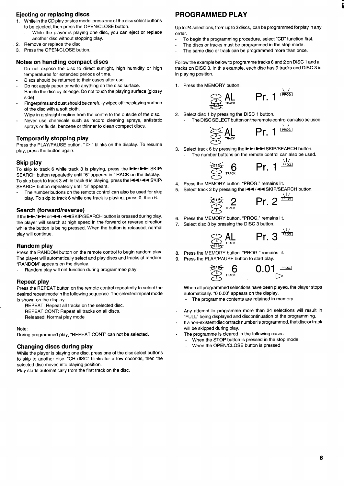#### **Ejecting or replacing discs**

- 1. While in the CD play or stop mode, press one of the disc select buttons to be ejected, then press the OPEN/CLOSE button.
	- While the player is playing one disc, you can eject or replace another disc without stopping play.
- 2. Remove or replace the disc.
- 3. Press the OPEN/CLOSE button.

#### **Notes on handling compact discs**

- Do not expose the disc to direct sunlight, high humidity or high temperatures for extended periods of time.
- Discs should be returned to their cases after use.
- Do not apply paper or write anything on the disc surface.
- Handle the disc by its edge. Do not touch the playing surface (glossy  $\overline{a}$ side).
- Fingerprints and dust should be carefully wiped off the playing surface of the disc with a soft cloth.
- Wipe in a straight motion from the centre to the outside of the disc.
- Never use chemicals such as record cleaning sprays, antistatic sprays or fluids, benzene or thinner to clean compact discs.

### **Temporarily stopping play**

Press the PLAY/PAUSE button. " $\triangleright$ " blinks on the display. To resume play, press the button again.

#### **Skip play**

To skip to track 6 while track 3 is playing, press the ►►/►► SKIP/ SEARCH button repeatedly until "6" appears in TRACK on the display. To skip back to track 3 while track 6 is playing, press the  $\blacktriangleleft \blacktriangleleft \blacktriangleleft \blacktriangleleft \mathsf{SKIP}/n \blacktriangleleft \blacktriangleleft \mathsf{FKIP}/n \blacktriangleleft \mathsf{FKIP}/n \blacktriangleleft \mathsf{SKIP}/n \blacktriangleleft \mathsf{SKIP}/n \blacktriangleleft \mathsf{SKIP}/n \blacktriangleleft \mathsf{SKIP}/n \blacktriangleleft \mathsf{SKIP}/n \blacktriangleleft \mathsf{SKIP}/n \blacktriangleleft \mathsf{SKIP}/n \blacktriangleleft \mathsf{SKIP}/n \blacktriangleleft \mathsf{SKIP}/n$ SEARCH button repeatedly until "3" appears.

The number buttons on the remote control can also be used for skip play. To skip to track 6 while one track is playing, press O, then 6.

#### **Search (forward/reverse)**

If the ►►/►► or  $\leftarrow$  /  $\leftarrow$  SKIP/SEARCH button is pressed during play, the player will search at high speed in the forward or reverse direction while the button is being pressed. When the button is released, normal play will continue.

#### **Random play**

Press the RANDOM button on the remote control to begin random play. The player will automatically select and play discs and tracks at random. "RANDOM" appears on the display.

Random play will not function during programmed play.

#### **Repeat play**

Press the REPEAT button on the remote control repeatedly to select the desired repeat mode in the following sequence. The selected repeat mode is shown on the display.

- REPEAT: Repeat all tracks on the selected disc.
- REPEAT CONT: Repeat all tracks on all discs.

Released: Normal play mode

#### Note:

During programmed play, "REPEAT CONT" can not be selected.

#### **Changing discs during play**

While the player is playing one disc, press one of the disc select buttons to skip to another disc. "CH dISC" blinks for a few seconds, then the selected disc moves into playing position.

Play starts automatically from the first track on the disc.

### **PROGRAMMED PLAY**

Up to 24 selections, from up to 3 discs, can be programmed for play in any order.

- To begin the programming procedure, select "CD" function first.
- The discs or tracks must be programmed in the stop mode.
- The same disc or track can be programmed more than once.

Follow the example below to programme tracks 6 and 2 on DISC 1 and all tracks on DISC 3. In this example, each disc has 9 tracks and DISC 3 is in playing position.

1. Press the MEMORY button.

$$
\bigcirc \limits_{\text{max}}_{\text{max}} \text{AL} \qquad \text{Pr. 1}^{\frac{1}{\text{DROS}}} \\
$$

**PL**<br>**EXECUTE:**<br>2. Select disc 1 by pressing the DISC 1 button. The DISC SELECT button on the remote control can also be used.

$$
\sum_{\text{tr}_\text{ACK}} \text{Pr. 1}^{\frac{1}{\text{Pr}, \text{CG}}}
$$

3.  $\lt$ Select track 6 by pressing the ►►/ ►► SKIP/SEARCH button.

The number buttons on the remote control can also be used.

$$
\begin{array}{ll}\n\text{RHS} & \text{RHS} \\
\text{RAS} & \text{RHS} \\
\text{RAS} & \text{RHS} \\
\text{RAS} & \text{RHS} \\
\text{RAS} & \text{RHS} \\
\text{RAS} & \text{RHS} \\
\text{RAS} & \text{RHS} \\
\text{RAS} & \text{RHS} \\
\text{RAS} & \text{RHS} \\
\text{RAS} & \text{RHS} \\
\text{RAS} & \text{RHS} \\
\text{RAS} & \text{RHS} \\
\text{RAS} & \text{RHS} \\
\text{RAS} & \text{RHS} \\
\text{RAS} & \text{RHS} \\
\text{RAS} & \text{RHS} \\
\text{RAS} & \text{RHS} \\
\text{RAS} & \text{RHS} \\
\text{RAS} & \text{RHS} \\
\text{RAS} & \text{RHS} \\
\text{RAS} & \text{RHS} \\
\text{RAS} & \text{RHS} \\
\text{RAS} & \text{RHS} \\
\text{RAS} & \text{RHS} \\
\text{RAS} & \text{RHS} \\
\text{RAS} & \text{RHS} \\
\text{RAS} & \text{RHS} \\
\text{RAS} & \text{RHS} \\
\text{RAS} & \text{RHS} \\
\text{RAS} & \text{RHS} \\
\text{RAS} & \text{RHS} \\
\text{RAS} & \text{RHS} \\
\text{RAS} & \text{RHS} \\
\text{RAS} & \text{RHS} \\
\text{RAS} & \text{RHS} \\
\text{RAS} & \text{RHS} \\
\text{RAS} & \text{RHS} \\
\text{RAS} & \text{RHS} \\
\text{RAS} & \text{RHS} \\
\text{RAS} & \text{RHS} \\
\text{RAS} & \text{RHS} \\
\text{RAS} & \text{RHS} \\
\text{RAS} & \text{RHS} \\
\text{RAS} & \text{RHS} \\
\text{RAS} & \text{RHS} \\
\text{RAS} & \text{RHS} \\
\text{RAS} & \text{RHS} \\
\text{RAS} & \text{RHS} \\
\text{RAS} & \text{RHS} \\
\text{RAS} & \text{RHS} \\
\text{RAS} & \text{RHS} \\
\text{RAS} & \text{RHS} \\
\text{RAS} & \text{RHS} \\
\text{RAS} & \text{
$$

- 4. Press the MEMORY button. "PROG." remains lit.
- 5. Select track 2 by pressing the l◀◀ /◀◀ SKIP/SEARCH buttor

$$
\sum_{\substack{2 \leq x \\ 2 \leq 3}}^{\infty} \frac{2}{\text{trax}} \quad \text{Pr. 2}^{\frac{\sqrt{1}}{\text{trax}}}.
$$

- 6. Press the MEMORY button. "PROG." remains lit.
- 7. Select disc 3 by pressing the DISC 3 button.

 $\breve{a}$ 

$$
\underbrace{\overset{\text{\tiny (1)}}{\leq 2}}_{\text{\tiny 23}\text{\tiny S}}\text{AL}\qquad \text{Pr. 3}^{\frac{\text{\tiny (1)}}{\text{\tiny [PROG]}}}
$$

- 8 Press the MEMORY button. "PROG." remains lit.
- 9 Press the PLAY/PAUSE button to start play.



When all programmed selections have been played, the player stops automatically. "0 0.00" appears on the display.

- The programme contents are retained in memory.
- Any attempt to programme more than 24 selections will result in "FULL" being displayed and discontinuation of the programming.
- If a non-existent disc or track number is programmed, that disc or track will be skipped during play.
- The programme is cleared in the following cases:
	- When the STOP button is pressed in the stop mode
	- When the OPEN/CLOSE button is pressed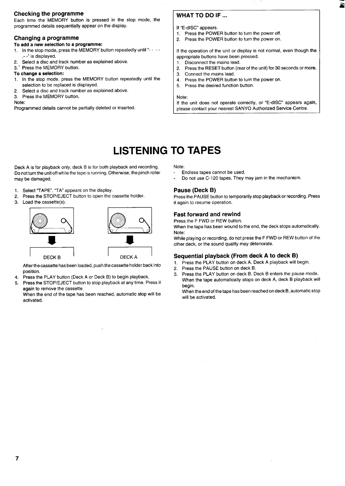#### **Checking the programme**

Each time the MEMORY button is pressed in the stop mode, the programmed details sequentially appear on the display.

#### **Changing a programme**

#### **To add a new selection to a programme:**

- **1. In** the stop mode, press the MEMORY button repeatedly until"- -- .- -" is displayed.
- 2. Select a disc and track number as explained above.<br>3. Press the MEMORY button.
- Press the MEMORY button.

#### **To change a selection:**

- **1. In the stop mode, press the MEMORY button repeatedly until the** selection to be replaced is displayed.
- 2. Select a disc and track number as explained above.
- 3. Press the MEMORY button.

#### Note:

Programmed details cannot be partially deleted or inserted.

#### **WHAT TO DO IF ...**

If "E-dISC" appears.

- 1. Press the POWER button to turn the power off.
- 2. Press the POWER button to turn the power on.

If the operation of the unit or display is not normal, even though the appropriate buttons have been pressed.

- 
- 1. Disconnect the mains lead.<br>2. Press the RESET button (re Press the RESET button (rear of the unit) for 30 seconds or more.
- 3. Connect the mains lead.<br>4. Press the POWER buttor
- Press the POWER button to turn the power on.
- 5. Press the desired function button.

#### Note:

If the unit does not operate correctly, or "E-dISC" appears again, please contact your nearest SANYO Authorized Service Centre.

### **LISTENING TO TAPES**

Deck A is for playback only; deck B is for both playback and recording. Do not turn the unit off while the tape is running. Otherwise, the pinch roller may be damaged.

- 1. Select "TAPE". "TA" appears on the display
- 2. Press the STOP/EJECT button to open the cassette holder.<br>Load the cassette(s).
- 3.



After the cassette has been loaded, push the cassette holder back into position.

- 4. Press the PLAY button (Deck A or Deck B) to begin playback.
- 5. Press the STOP/EJECT button to stop playback at any time. Press it again to remove the cassette.

When the end of the tape has been reached, automatic stop will be activated.

Note:

- Endless tapes cannot be used.
- Do not use C-120 tapes. They may jam in the mechanism.

#### **Pause (Deck B)**

Press the PAUSE button to temporarily stop playback or recording. Press it again to resume operation.

#### **Fast forward and rewind**

Press the F FWD or REW button.

When the tape has been wound to the end, the deck stops automatically. Note:

While playing or recording, do not press the F FWD or REW button of the other deck, or the sound quality may deteriorate.

#### **Sequential playback (From deck A to deck B)**

- 1. Press the PLAY button on deck A. Deck A playback will begin.
- 2. Press the PAUSE button on deck B.
- 3. Press the PLAY button on deck B. Deck B enters the pause mode. When the tape automatically stops on deck A, deck B playback will begin.

When the end of the tape has been reached on deck B, automatic stop will be activated.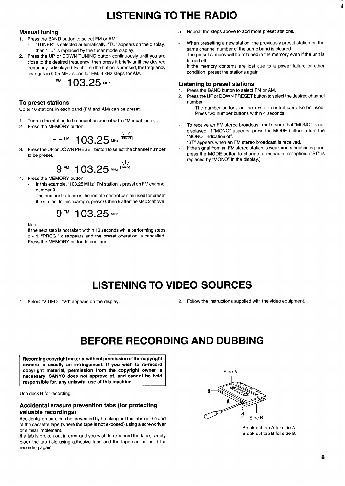### **LISTENING TO THE RADIO**

#### **Manual tuning**

- 1. Press the BAND button to select FM or AM.
- "TUNER" is selected automatically. "TU" appears on the display, then "TU" is replaced by the tuner mode display.
- 2. Press the UP or DOWN TUNING button continuously until you are close to the desired frequency, then press it briefly until the desired frequency is displayed. Each time the button is pressed, the frequency changes in 0.05 MHz steps for FM, 9 kHz steps for AM.

$$
^{FM} 103.25\,\mathrm{MHz}
$$

#### **To preset stations**

Up to 16 stations in each band (FM and AM) can be preset.

- 1. Tune in the station to be preset as described in "Manual tuning".
- 2. Press the MEMORY button.

$$
\begin{array}{r}\n - F^{\text{IM}} \quad 103.25 \text{ MHz}^{\frac{\sqrt{17}}{\text{[PROG]}}}\n \end{array}
$$

3. Press the UP or DOWN PRESET button to select the channel number to be preset.

$$
9^{\text{FM}} \hspace{0.2cm} 103.25^{\text{MHz}}^{\frac{\text{N}}{\text{LFGG.}}}
$$

- 4. Press the MEMORY button.
	- In this example,"1 03.25 MHz" FM station is preset on FM channel number 9.
	- The number buttons on the remote control can be used for preset the station. In this example, press 0, then 9 after the step 2 above.

$$
9^{FM} 103.25^{MH2}
$$

Note:

If the next step is not taken within 10 seconds while performing steps 2-4, "PROG." disappears and the preset operation is cancelled. Press the MEMORY button to continue.

- 5. Repeat the steps above to add more preset stations.
- When presetting a new station, the previously preset station on the same channel number of the same band is cleared.
- The preset stations will be retained in the memory even if the unit is turned off.

If the memory contents are lost due to a power failure or other condition, preset the stations again.

#### **Listening to preset stations**

- 1. Press the BAND button to select FM or AM.<br>2. Press the UP or DOWN PRESET button to se
- 2, Press the UP or DOWN PRESET button to select the desired channel number.
	- The number buttons on the remote control can also be used. Press two number buttons within 4 seconds.
- To receive an FM stereo broadcast, make sure that "MONO" is not displayed. If "MONO" appears, press the MODE button to turn the "MONO" indication off.

"ST" appears when an FM stereo broadcast is received.

If the signal from an FM stereo station is weak and reception is poor, press the MODE button to change to monaural reception. ("ST" is replaced by "MONO" in the display.)

### **LISTENING TO VIDEO SOURCES**

- 
- 1. Select "VIDEO". "Vd" appears on the display. 2. Follow the instructions supplied with the video equipment.

### **BEFORE RECORDING AND DUBBING**

**Recording copyright material without permission of the copyright owners is usually an infringement. If you wish to ra-record copyright material, permission from the copyright owner is necessary. SANYO does not approve of, and cannot be held responsible for, any unlawful use of this machine.**

Use deck B for recording

#### **Accidental erasure prevention tabs (for protecting valuable recordings)**

Accidental erasure can be prevented by breaking out the tabs on the end of the cassette tape (where the tape is not exposed) using a screwdriver or similar implement.

If a tab is broken out in error and you wish to re-record the tape, simply block the tab hole using adhesive tape and the tape can be used for recording again.



Break out tab A for side A. Break out tab B for side B.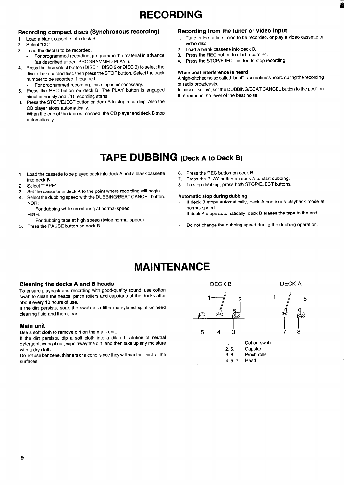## **RECORDING**

## **Recording compact discs (Synchronous recording) Recording from the tuner or video input**<br>1. Load a blank cassette into deck B.<br>**1.** Tune in the radio station to be recorded, or play a

- 
- 2. Select "CD".
- 3. Load the disc(s) to be recorded.
	- For programmed recording, programme the material in advance (as described under "PROGRAMMED PLAY").
- 4. Press the disc select button (DISC 1, DISC 2 or DISC 3) to select the disc to be recorded first, then press the STOP button. Select the track number to be recorded if required.
	- For programmed recording, this step is unnecessary.
- 5. Press the REC button on deck B. The PLAY button is engaged simultaneously and CD recording starts.
- 6. Press the STOP/EJECT button on deck B to stop recording. Also the CD player stops automatically.

When the end of the tape is reached, the CD player and deck B stop automatically.

- Tune in the radio station to be recorded, or play a video cassette or video disc.
- 2. Load a blank cassette into deck B.<br>3. Press the REC button to start reco
- Press the REC button to start recording.
- 4. Press the STOP/EJECT button to stop recording.

#### **When beat interference ie heard**

**A high-pitched noise called "bear issometimes heard during the recording** of radio broadcasts.

In cases like this, set the DUBBING/BEAT CANCEL button to the position that reduces the level of the beat noise.

### **TAPE DUBBING (Deck <sup>A</sup> to Deck B)**

- 1. Load the cassette to be played back into deck A and a blank cassette into deck B.
- 2. Select "TAPE".
- 3. Set the cassette in deck A to the point where recording will begin
- Select the dubbing speed with the DUBBING/BEAT CANCEL button. NOR:

For dubbing while monitoring at normal speed. HIGH:

For dubbing tape at high speed (twice normal speed).

5. Press the PAUSE button on deck B.

- 6. Press the REC button on deck B.<br>7. Press the PLAY button on deck A
- Press the PLAY button on deck A to start dubbing.
- 8. To stop dubbing, press both STOP/EJECT buttons.

#### **Automatic stop during dubbing**

- **If deck B stops automatically, deck A continues playback mode at normal speed.**
- **If deck A stops automatically, deck B erases the tape to** the end.
- Do not change the dubbing speed during the dubbing operation.

## **MAINTENANCE**

### **Cleaning the decks <sup>A</sup> and <sup>B</sup> heads DECKB DECKA**

To ensure playback and recording with good-quality sound, use cotton swab to clean the heads, pinch rollers and capstans of the decks after about every 10 hours of use.

If the dirt persists, soak the swab in a little methylated spirit or head cleaning fluid and then clean.

Use a soft cloth to remove dirt on the main unit. **543 78**

If the dirt persists, dip a soft cloth into a diluted solution of neutral detergent, wring it out, wipe away the dirt, and then take up any moisture 1. Cotton swab<br>
1. Cotton swab<br>
2.6. Capstan with a dry cloth. 2, 6. Capstan<br>Do not use benzene, thinners or alcohol since they will mar the finish of the the state of the state of the st

Do not use benzene, thinners or alcohol since they will mar the finish of the 3,8. 8. surfaces. 4, 5, 7, Head





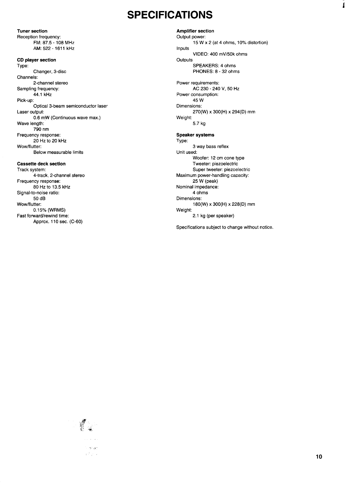### **SPECIFICATIONS**

FM: 87.5-108 MHz AM: 522-1611 kHz **CD player section Type: Changer, 3-disc Channels: 2-channel stereo Sampling frequency: 44.1 kHz Pick-up: Optical 3-beam semiconductor laser Laser output: 0.6 m.W (Continuous wave max.) Wave length: 790 nm Frequency response: 20** Hz to 20 kHz Wow/flutter: Below measurable limits **Caasette deck section** Track system: 4-track, 2-channel stereo

**Tuner section Reception frequency:**

Frequency response: 80 Hz to 13.5 kHz Signal-to-noise ratio: 50 dB Wow/flutter: 0.1 5% (WRMS) Fast forward/rewind time: Approx. 110 sec. (C-60)

**Amplifier section Output power: 15** W x **2 (at 4** ohms, 10% distortion) Inputs VIDEO: 400 mV/50k ohms **Outputs** SPEAKERS: 4 ohms PHONES: 8-32 ohms Power requirements: AC 230-240 V, 50 Hz Power consumption: 45 **w** Dimensions: 270(W) x 300(H) x 294(D) mm Weight: 5.7 kg **Speaker systems Type: 3 way bass reflex Unit used: Woofer 12 cm cone type Tweetec piezoelectric Super tweeter: piezoelectric Maximum power-handling caoacity: 25 W (peak) Nominal impedance: 4** ohms Dimensions: 180(W) x 300(H) x 228(D) mm

Specifications subject to change without notice.

2.1 kg (per speaker)

Weight:



Í